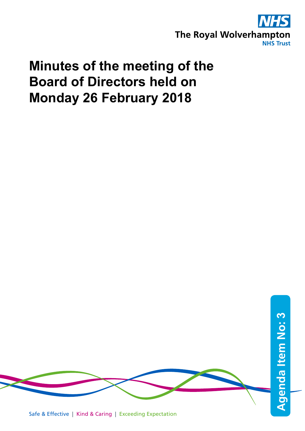

# **Minutes of the meeting of the Board of Directors held on Monday 26 February 2018**

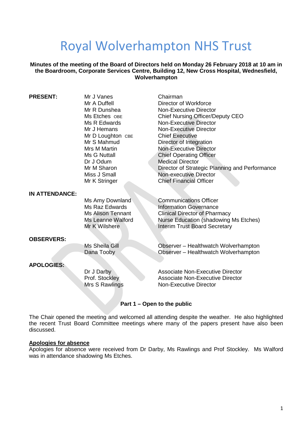# Royal Wolverhampton NHS Trust

**Minutes of the meeting of the Board of Directors held on Monday 26 February 2018 at 10 am in the Boardroom, Corporate Services Centre, Building 12, New Cross Hospital, Wednesfield, Wolverhampton**

| <b>PRESENT:</b>       | Mr J Vanes               | Chairman                                       |
|-----------------------|--------------------------|------------------------------------------------|
|                       | Mr A Duffell             | Director of Workforce                          |
|                       | Mr R Dunshea             | Non-Executive Director                         |
|                       | Ms Etches OBE            | <b>Chief Nursing Officer/Deputy CEO</b>        |
|                       | Ms R Edwards             | <b>Non-Executive Director</b>                  |
|                       | Mr J Hemans              | Non-Executive Director                         |
|                       | Mr D Loughton CBE        | <b>Chief Executive</b>                         |
|                       | Mr S Mahmud              | Director of Integration                        |
|                       | Mrs M Martin             | <b>Non-Executive Director</b>                  |
|                       | Ms G Nuttall             | <b>Chief Operating Officer</b>                 |
|                       | Dr J Odum                | <b>Medical Director</b>                        |
|                       | Mr M Sharon              | Director of Strategic Planning and Performance |
|                       | Miss J Small             | Non-executive Director                         |
|                       | Mr K Stringer            | <b>Chief Financial Officer</b>                 |
| <b>IN ATTENDANCE:</b> |                          |                                                |
|                       | Ms Amy Downland          | <b>Communications Officer</b>                  |
|                       | <b>Ms Raz Edwards</b>    | <b>Information Governance</b>                  |
|                       | <b>Ms Alison Tennant</b> | <b>Clinical Director of Pharmacy</b>           |
|                       | Ms Leanne Walford        | Nurse Education (shadowing Ms Etches)          |
|                       | Mr K Wilshere            | <b>Interim Trust Board Secretary</b>           |
| <b>OBSERVERS:</b>     |                          |                                                |
|                       | Ms Sheila Gill           | Observer - Healthwatch Wolverhampton           |
|                       | Dana Tooby               | Observer - Healthwatch Wolverhampton           |
|                       |                          |                                                |
| <b>APOLOGIES:</b>     |                          |                                                |
|                       | Dr J Darby               | <b>Associate Non-Executive Director</b>        |
|                       | Prof. Stockley           | <b>Associate Non-Executive Director</b>        |
|                       | Mrs S Rawlings           | <b>Non-Executive Director</b>                  |
|                       |                          |                                                |
|                       |                          |                                                |

# **Part 1 – Open to the public**

The Chair opened the meeting and welcomed all attending despite the weather. He also highlighted the recent Trust Board Committee meetings where many of the papers present have also been discussed.

# **Apologies for absence**

Apologies for absence were received from Dr Darby, Ms Rawlings and Prof Stockley. Ms Walford was in attendance shadowing Ms Etches.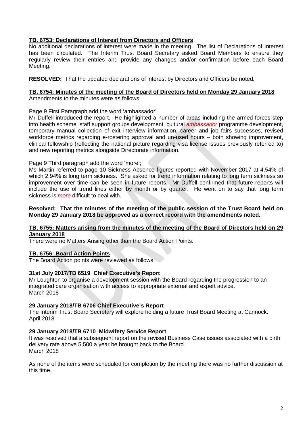# **TB. 6753: Declarations of Interest from Directors and Officers**

No additional declarations of interest were made in the meeting. The list of Declarations of Interest has been circulated. The Interim Trust Board Secretary asked Board Members to ensure they regularly review their entries and provide any changes and/or confirmation before each Board Meeting.

**RESOLVED:** That the updated declarations of interest by Directors and Officers be noted.

# **TB. 6754: Minutes of the meeting of the Board of Directors held on Monday 29 January 2018**

Amendments to the minutes were as follows:

Page 9 First Paragraph add the word 'ambassador'.

Mr Duffell introduced the report. He highlighted a number of areas including the armed forces step into health scheme, staff support groups development, cultural *ambassador* programme development, temporary manual collection of exit interview information, career and job fairs successes, revised workforce metrics regarding e-rostering approval and un-used hours – both showing improvement, clinical fellowship (reflecting the national picture regarding visa license issues previously referred to) and new reporting metrics alongside Directorate information.

Page 9 Third paragraph add the word 'more';

Ms Martin referred to page 10 Sickness Absence figures reported with November 2017 at 4.54% of which 2.94% is long term sickness. She asked for trend information relating to long term sickness so improvement over time can be seen in future reports. Mr Duffell confirmed that future reports will include the use of trend lines either by month or by quarter. He went on to say that long term sickness is *more* difficult to deal with.

#### **Resolved: That the minutes of the meeting of the public session of the Trust Board held on Monday 29 January 2018 be approved as a correct record with the amendments noted.**

#### **TB. 6755: Matters arising from the minutes of the meeting of the Board of Directors held on 29 January 2018**

There were no Matters Arising other than the Board Action Points.

# **TB. 6756: Board Action Points**

The Board Action points were reviewed as follows:

# **31st July 2017/TB 6519 Chief Executive's Report**

Mr Loughton to organise a development session with the Board regarding the progression to an integrated care organisation with access to appropriate external and expert advice. March 2018

# **29 January 2018/TB 6706 Chief Executive's Report**

The Interim Trust Board Secretary will explore holding a future Trust Board Meeting at Cannock. April 2018

# **29 January 2018/TB 6710 Midwifery Service Report**

It was resolved that a subsequent report on the revised Business Case issues associated with a birth delivery rate above 5,500 a year be brought back to the Board. March 2018

As none of the items were scheduled for completion by the meeting there was no further discussion at this time.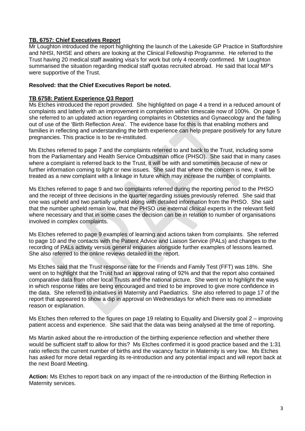# **TB. 6757: Chief Executives Report**

Mr Loughton introduced the report highlighting the launch of the Lakeside GP Practice in Staffordshire and NHSI, NHSE and others are looking at the Clinical Fellowship Programme. He referred to the Trust having 20 medical staff awaiting visa's for work but only 4 recently confirmed. Mr Loughton summarised the situation regarding medical staff quotas recruited abroad. He said that local MP's were supportive of the Trust.

# **Resolved: that the Chief Executives Report be noted.**

### **TB 6758: Patient Experience Q3 Report**

Ms Etches introduced the report provided. She highlighted on page 4 a trend in a reduced amount of complaints and latterly with an improvement in completion within timescale now of 100%. On page 5 she referred to an updated action regarding complaints in Obstetrics and Gynaecology and the falling out of use of the 'Birth Reflection Area'. The evidence base for this is that enabling mothers and families in reflecting and understanding the birth experience can help prepare positively for any future pregnancies. This practice is to be re-instituted.

Ms Etches referred to page 7 and the complaints referred to and back to the Trust, including some from the Parliamentary and Health Service Ombudsman office (PHSO). She said that in many cases where a complaint is referred back to the Trust, it will be with and sometimes because of new or further information coming to light or new issues. She said that where the concern is new, it will be treated as a new complaint with a linkage in future which may increase the number of complaints.

Ms Etches referred to page 9 and two complaints referred during the reporting period to the PHSO and the receipt of three decisions in the quarter regarding issues previously referred. She said that one was upheld and two partially upheld along with detailed information from the PHSO. She said that the number upheld remain low, that the PHSO use external clinical experts in the relevant field where necessary and that in some cases the decision can be in relation to number of organisations involved in complex complaints.

Ms Etches referred to page 9 examples of learning and actions taken from complaints. She referred to page 10 and the contacts with the Patient Advice and Liaison Service (PALs) and changes to the recording of PALs activity versus general enquiries alongside further examples of lessons learned. She also referred to the online reviews detailed in the report.

Ms Etches said that the Trust response rate for the Friends and Family Test (FFT) was 18%. She went on to highlight that the Trust had an approval rating of 92% and that the report also contained comparative data from other local Trusts and the national picture. She went on to highlight the ways in which response rates are being encouraged and tried to be improved to give more confidence in the data. She referred to initiatives in Maternity and Paediatrics. She also referred to page 17 of the report that appeared to show a dip in approval on Wednesdays for which there was no immediate reason or explanation.

Ms Etches then referred to the figures on page 19 relating to Equality and Diversity goal 2 – improving patient access and experience. She said that the data was being analysed at the time of reporting.

Ms Martin asked about the re-introduction of the birthing experience reflection and whether there would be sufficient staff to allow for this? Ms Etches confirmed it is good practice based and the 1:31 ratio reflects the current number of births and the vacancy factor in Maternity is very low. Ms Etches has asked for more detail regarding its re-introduction and any potential impact and will report back at the next Board Meeting.

**Action:** Ms Etches to report back on any impact of the re-introduction of the Birthing Reflection in Maternity services.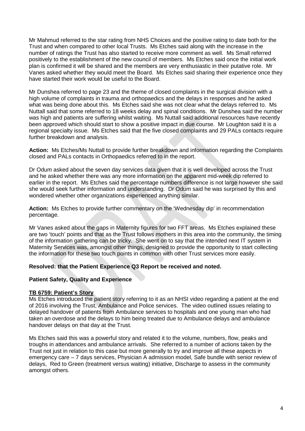Mr Mahmud referred to the star rating from NHS Choices and the positive rating to date both for the Trust and when compared to other local Trusts. Ms Etches said along with the increase in the number of ratings the Trust has also started to receive more comment as well. Ms Small referred positively to the establishment of the new council of members. Ms Etches said once the initial work plan is confirmed it will be shared and the members are very enthusiastic in their putative role. Mr Vanes asked whether they would meet the Board. Ms Etches said sharing their experience once they have started their work would be useful to the Board.

Mr Dunshea referred to page 23 and the theme of closed complaints in the surgical division with a high volume of complaints in trauma and orthopaedics and the delays in responses and he asked what was being done about this. Ms Etches said she was not clear what the delays referred to. Ms Nuttall said that some referred to 18 weeks delay and spinal conditions. Mr Dunshea said the number was high and patients are suffering whilst waiting. Ms Nuttall said additional resources have recently been approved which should start to show a positive impact in due course. Mr Loughton said it is a regional specialty issue. Ms Etches said that the five closed complaints and 29 PALs contacts require further breakdown and analysis.

**Action:** Ms Etches/Ms Nuttall to provide further breakdown and information regarding the Complaints closed and PALs contacts in Orthopaedics referred to in the report.

Dr Odum asked about the seven day services data given that it is well developed across the Trust and he asked whether there was any more information on the apparent mid-week dip referred to earlier in the report. Ms Etches said the percentage numbers difference is not large however she said she would seek further information and understanding. Dr Odum said he was surprised by this and wondered whether other organizations experienced anything similar.

**Action:** Ms Etches to provide further commentary on the 'Wednesday dip' in recommendation percentage.

Mr Vanes asked about the gaps in Maternity figures for two FFT areas. Ms Etches explained these are two 'touch' points and that as the Trust follows mothers in this area into the community, the timing of the information gathering can be tricky. She went on to say that the intended next IT system in Maternity Services was, amongst other things, designed to provide the opportunity to start collecting the information for these two touch points in common with other Trust services more easily.

# **Resolved: that the Patient Experience Q3 Report be received and noted.**

# **Patient Safety, Quality and Experience**

#### **TB 6759: Patient's Story**

Ms Etches introduced the patient story referring to it as an NHSI video regarding a patient at the end of 2016 involving the Trust, Ambulance and Police services. The video outlined issues relating to delayed handover of patients from Ambulance services to hospitals and one young man who had taken an overdose and the delays to him being treated due to Ambulance delays and ambulance handover delays on that day at the Trust.

Ms Etches said this was a powerful story and related it to the volume, numbers, flow, peaks and troughs in attendances and ambulance arrivals. She referred to a number of actions taken by the Trust not just in relation to this case but more generally to try and improve all these aspects in emergency care – 7 days services, Physician A admission model, Safe bundle with senior review of delays, Red to Green (treatment versus waiting) initiative, Discharge to assess in the community amongst others.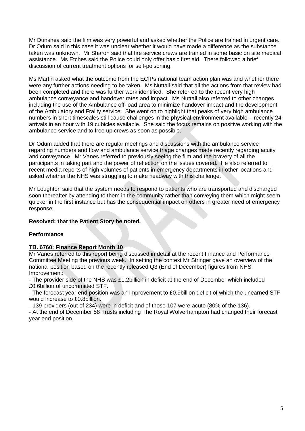Mr Dunshea said the film was very powerful and asked whether the Police are trained in urgent care. Dr Odum said in this case it was unclear whether it would have made a difference as the substance taken was unknown. Mr Sharon said that fire service crews are trained in some basic on site medical assistance. Ms Etches said the Police could only offer basic first aid. There followed a brief discussion of current treatment options for self-poisoning.

Ms Martin asked what the outcome from the ECIPs national team action plan was and whether there were any further actions needing to be taken. Ms Nuttall said that all the actions from that review had been completed and there was further work identified. She referred to the recent very high ambulance conveyance and handover rates and impact. Ms Nuttall also referred to other changes including the use of the Ambulance off-load area to minimize handover impact and the development of the Ambulatory and Frailty service. She went on to highlight that peaks of very high ambulance numbers in short timescales still cause challenges in the physical environment available – recently 24 arrivals in an hour with 19 cubicles available. She said the focus remains on positive working with the ambulance service and to free up crews as soon as possible.

Dr Odum added that there are regular meetings and discussions with the ambulance service regarding numbers and flow and ambulance service triage changes made recently regarding acuity and conveyance. Mr Vanes referred to previously seeing the film and the bravery of all the participants in taking part and the power of reflection on the issues covered. He also referred to recent media reports of high volumes of patients in emergency departments in other locations and asked whether the NHS was struggling to make headway with this challenge.

Mr Loughton said that the system needs to respond to patients who are transported and discharged soon thereafter by attending to them in the community rather than conveying them which might seem quicker in the first instance but has the consequential impact on others in greater need of emergency response.

# **Resolved: that the Patient Story be noted.**

# **Performance**

# **TB. 6760: Finance Report Month 10**

Mr Vanes referred to this report being discussed in detail at the recent Finance and Performance Committee Meeting the previous week. In setting the context Mr Stringer gave an overview of the national position based on the recently released Q3 (End of December) figures from NHS Improvement:

- The provider side of the NHS was £1.2billion in deficit at the end of December which included £0.6billion of uncommitted STF.

- The forecast year end position was an improvement to £0.9billion deficit of which the unearned STF would increase to £0.8billion.

- 139 providers (out of 234) were in deficit and of those 107 were acute (80% of the 136).

- At the end of December 58 Trusts including The Royal Wolverhampton had changed their forecast year end position.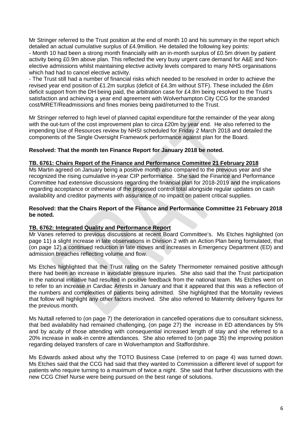Mr Stringer referred to the Trust position at the end of month 10 and his summary in the report which detailed an actual cumulative surplus of £4.9million. He detailed the following key points:

- Month 10 had been a strong month financially with an in-month surplus of £0.5m driven by patient activity being £0.9m above plan. This reflected the very busy urgent care demand for A&E and Nonelective admissions whilst maintaining elective activity levels compared to many NHS organisations which had had to cancel elective activity.

- The Trust still had a number of financial risks which needed to be resolved in order to achieve the revised year end position of £1.2m surplus (deficit of £4.3m without STF). These included the £6m deficit support from the DH being paid, the arbitration case for £4.8m being resolved to the Trust's satisfaction and achieving a year end agreement with Wolverhampton City CCG for the stranded cost/MRET/Readmissions and fines monies being paid/returned to the Trust.

Mr Stringer referred to high level of planned capital expenditure for the remainder of the year along with the out-turn of the cost improvement plan to circa £20m by year end. He also referred to the impending Use of Resources review by NHSI scheduled for Friday 2 March 2018 and detailed the components of the Single Oversight Framework performance against plan for the Board.

# **Resolved: That the month ten Finance Report for January 2018 be noted.**

# **TB. 6761: Chairs Report of the Finance and Performance Committee 21 February 2018**

Ms Martin agreed on January being a positive month also compared to the previous year and she recognized the rising cumulative in-year CIP performance. She said the Finance and Performance Committee had extensive discussions regarding the financial plan for 2018-2019 and the implications regarding acceptance or otherwise of the proposed control total alongside regular updates on cash availability and creditor payments with assurance of no impact on patient critical supplies.

#### **Resolved: that the Chairs Report of the Finance and Performance Committee 21 February 2018 be noted.**

# **TB. 6762: Integrated Quality and Performance Report**

Mr Vanes referred to previous discussions at recent Board Committee's. Ms Etches highlighted (on page 11) a slight increase in late observations in Division 2 with an Action Plan being formulated, that (on page 12) a continued reduction in late moves and increases in Emergency Department (ED) and admission breaches reflecting volume and flow.

Ms Etches highlighted that the Trust rating on the Safety Thermometer remained positive although there had been an increase in avoidable pressure injuries. She also said that the Trust participation in the national initiative had resulted in positive feedback from the national team. Ms Etches went on to refer to an increase in Cardiac Arrests in January and that it appeared that this was a reflection of the numbers and complexities of patients being admitted. She highlighted that the Mortality reviews that follow will highlight any other factors involved. She also referred to Maternity delivery figures for the previous month.

Ms Nuttall referred to (on page 7) the deterioration in cancelled operations due to consultant sickness, that bed availability had remained challenging, (on page 27) the increase in ED attendances by 5% and by acuity of those attending with consequential increased length of stay and she referred to a 20% increase in walk-in centre attendances. She also referred to (on page 35) the improving position regarding delayed transfers of care in Wolverhampton and Staffordshire.

Ms Edwards asked about why the TOTO Business Case (referred to on page 4) was turned down. Ms Etches said that the CCG had said that they wanted to Commission a different level of support for patients who require turning to a maximum of twice a night. She said that further discussions with the new CCG Chief Nurse were being pursued on the best range of solutions.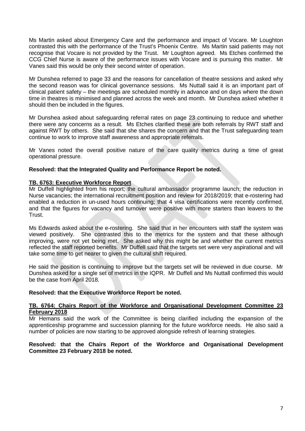Ms Martin asked about Emergency Care and the performance and impact of Vocare. Mr Loughton contrasted this with the performance of the Trust's Phoenix Centre. Ms Martin said patients may not recognise that Vocare is not provided by the Trust. Mr Loughton agreed. Ms Etches confirmed the CCG Chief Nurse is aware of the performance issues with Vocare and is pursuing this matter. Mr Vanes said this would be only their second winter of operation.

Mr Dunshea referred to page 33 and the reasons for cancellation of theatre sessions and asked why the second reason was for clinical governance sessions. Ms Nuttall said it is an important part of clinical patient safety – the meetings are scheduled monthly in advance and on days where the down time in theatres is minimised and planned across the week and month. Mr Dunshea asked whether it should then be included in the figures.

Mr Dunshea asked about safeguarding referral rates on page 23 continuing to reduce and whether there were any concerns as a result. Ms Etches clarified these are both referrals by RWT staff and against RWT by others. She said that she shares the concern and that the Trust safeguarding team continue to work to improve staff awareness and appropriate referrals.

Mr Vanes noted the overall positive nature of the care quality metrics during a time of great operational pressure.

# **Resolved: that the Integrated Quality and Performance Report be noted.**

#### **TB. 6763: Executive Workforce Report**

Mr Duffell highlighted from his report; the cultural ambassador programme launch; the reduction in Nurse vacancies; the international recruitment position and review for 2018/2019; that e-rostering had enabled a reduction in un-used hours continuing; that 4 visa certifications were recently confirmed, and that the figures for vacancy and turnover were positive with more starters than leavers to the Trust.

Ms Edwards asked about the e-rostering. She said that in her encounters with staff the system was viewed positively. She contrasted this to the metrics for the system and that these although improving, were not yet being met. She asked why this might be and whether the current metrics reflected the staff reported benefits. Mr Duffell said that the targets set were very aspirational and will take some time to get nearer to given the cultural shift required.

He said the position is continuing to improve but the targets set will be reviewed in due course. Mr Dunshea asked for a single set of metrics in the IQPR. Mr Duffell and Ms Nuttall confirmed this would be the case from April 2018.

#### **Resolved: that the Executive Workforce Report be noted.**

### **TB. 6764: Chairs Report of the Workforce and Organisational Development Committee 23 February 2018**

Mr Hemans said the work of the Committee is being clarified including the expansion of the apprenticeship programme and succession planning for the future workforce needs. He also said a number of policies are now starting to be approved alongside refresh of learning strategies.

### **Resolved: that the Chairs Report of the Workforce and Organisational Development Committee 23 February 2018 be noted.**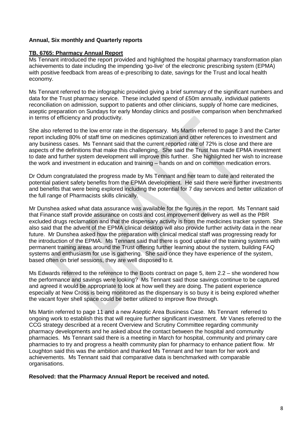# **Annual, Six monthly and Quarterly reports**

### **TB. 6765: Pharmacy Annual Report**

Ms Tennant introduced the report provided and highlighted the hospital pharmacy transformation plan achievements to date including the impending 'go-live' of the electronic prescribing system (EPMA) with positive feedback from areas of e-prescribing to date, savings for the Trust and local health economy.

Ms Tennant referred to the infographic provided giving a brief summary of the significant numbers and data for the Trust pharmacy service. These included spend of £50m annually, individual patients reconciliation on admission, support to patients and other clinicians, supply of home care medicines, aseptic preparation on Sundays for early Monday clinics and positive comparison when benchmarked in terms of efficiency and productivity.

She also referred to the low error rate in the dispensary. Ms Martin referred to page 3 and the Carter report including 80% of staff time on medicines optimization and other references to investment and any business cases. Ms Tennant said that the current reported rate of 72% is close and there are aspects of the definitions that make this challenging. She said the Trust has made EPMA investment to date and further system development will improve this further. She highlighted her wish to increase the work and investment in education and training – hands on and on common medication errors.

Dr Odum congratulated the progress made by Ms Tennant and her team to date and reiterated the potential patient safety benefits from the EPMA development. He said there were further investments and benefits that were being explored including the potential for 7 day services and better utilization of the full range of Pharmacists skills clinically.

Mr Dunshea asked what data assurance was available for the figures in the report. Ms Tennant said that Finance staff provide assurance on costs and cost improvement delivery as well as the PBR excluded drugs reclamation and that the dispensary activity is from the medicines tracker system. She also said that the advent of the EPMA clinical desktop will also provide further activity data in the near future. Mr Dunshea asked how the preparation with clinical medical staff was progressing ready for the introduction of the EPMA. Ms Tennant said that there is good uptake of the training systems with permanent training areas around the Trust offering further learning about the system, building FAQ systems and enthusiasm for use is gathering. She said once they have experience of the system, based often on brief sessions, they are well disposed to it.

Ms Edwards referred to the reference to the Boots contract on page 5, item 2.2 – she wondered how the performance and savings were looking? Ms Tennant said those savings continue to be captured and agreed it would be appropriate to look at how well they are doing. The patient experience especially at New Cross is being monitored as the dispensary is so busy it is being explored whether the vacant foyer shell space could be better utilized to improve flow through.

Ms Martin referred to page 11 and a new Aseptic Area Business Case. Ms Tennant referred to ongoing work to establish this that will require further significant investment. Mr Vanes referred to the CCG strategy described at a recent Overview and Scrutiny Committee regarding community pharmacy developments and he asked about the contact between the hospital and community pharmacies. Ms Tennant said there is a meeting in March for hospital, community and primary care pharmacies to try and progress a health community plan for pharmacy to enhance patient flow. Mr Loughton said this was the ambition and thanked Ms Tennant and her team for her work and achievements. Ms Tennant said that comparative data is benchmarked with comparable organisations.

**Resolved: that the Pharmacy Annual Report be received and noted.**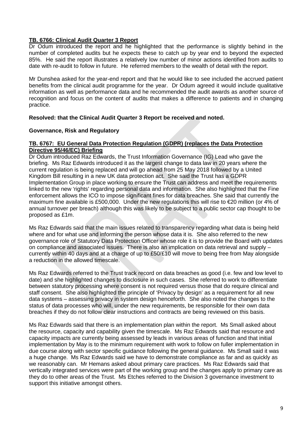# **TB. 6766: Clinical Audit Quarter 3 Report**

Dr Odum introduced the report and he highlighted that the performance is slightly behind in the number of completed audits but he expects these to catch up by year end to beyond the expected 85%. He said the report illustrates a relatively low number of minor actions identified from audits to date with re-audit to follow in future. He referred members to the wealth of detail with the report.

Mr Dunshea asked for the year-end report and that he would like to see included the accrued patient benefits from the clinical audit programme for the year. Dr Odum agreed it would include qualitative information as well as performance data and he recommended the audit awards as another source of recognition and focus on the content of audits that makes a difference to patients and in changing practice.

# **Resolved: that the Clinical Audit Quarter 3 Report be received and noted.**

# **Governance, Risk and Regulatory**

# **TB. 6767: EU General Data Protection Regulation (GDPR) (replaces the Data Protection Directive 95/46/EC) Briefing**

Dr Odum introduced Raz Edwards, the Trust Information Governance (IG) Lead who gave the briefing. Ms Raz Edwards introduced it as the largest change to data law in 20 years where the current regulation is being replaced and will go ahead from 25 May 2018 followed by a United Kingdom Bill resulting in a new UK data protection act. She said the Trust has a GDPR Implementation Group in place working to ensure the Trust can address and meet the requirements linked to the new 'rights' regarding personal data and information. She also highlighted that the Fine enforcement allows the ICO to impose significant fines for data breaches. She said that currently the maximum fine available is £500,000. Under the new regulations this will rise to €20 million (or 4% of annual turnover per breach) although this was likely to be subject to a public sector cap thought to be proposed as £1m.

Ms Raz Edwards said that the main issues related to transparency regarding what data is being held where and for what use and informing the person whose data it is. She also referred to the new governance role of Statutory Data Protection Officer whose role it is to provide the Board with updates on compliance and associated issues. There is also an implication on data retrieval and supply – currently within 40 days and at a charge of up to £50/£10 will move to being free from May alongside a reduction in the allowed timescale.

Ms Raz Edwards referred to the Trust track record on data breaches as good (i.e. few and low level to date) and she highlighted changes to disclosure in such cases. She referred to work to differentiate between statutory processing where consent is not required versus those that do require clinical and staff consent. She also highlighted the principle of 'Privacy by design' as a requirement for all new data systems – assessing privacy in system design henceforth. She also noted the changes to the status of data processes who will, under the new requirements, be responsible for their own data breaches if they do not follow clear instructions and contracts are being reviewed on this basis.

Ms Raz Edwards said that there is an implementation plan within the report. Ms Small asked about the resource, capacity and capability given the timescale. Ms Raz Edwards said that resource and capacity impacts are currently being assessed by leads in various areas of function and that initial implementation by May is to the minimum requirement with work to follow on fuller implementation in due course along with sector specific guidance following the general guidance. Ms Small said it was a huge change. Ms Raz Edwards said we have to demonstrate compliance as far and as quickly as we reasonably can. Mr Hemans asked about primary care practices. Ms Raz Edwards said that vertically integrated services were part of the working group and the changes apply to primary care as they do to other areas of the Trust. Ms Etches referred to the Division 3 governance investment to support this initiative amongst others.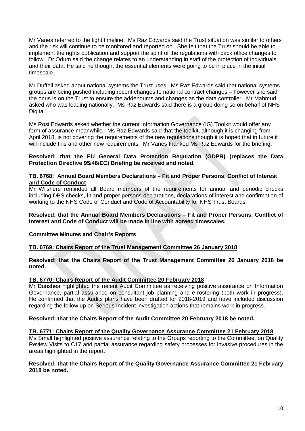Mr Vanes referred to the tight timeline. Ms Raz Edwards said the Trust situation was similar to others and the risk will continue to be monitored and reported on. She felt that the Trust should be able to implement the rights publication and support the spirit of the regulations with back office changes to follow. Dr Odum said the change relates to an understanding in staff of the protection of individuals and their data. He said he thought the essential elements were going to be in place in the initial timescale.

Mr Duffell asked about national systems the Trust uses. Ms Raz Edwards said that national systems groups are being pushed including recent changes to national contract changes – however she said the onus is on the Trust to ensure the addendums and changes as the data controller. Mr Mahmud asked who was leading nationally. Ms Raz Edwards said there is a group doing so on behalf of NHS Digital.

Ms Rosi Edwards asked whether the current Information Governance (IG) Toolkit would offer any form of assurance meanwhile. Ms Raz Edwards said that the toolkit, although it is changing from April 2018, is not covering the requirements of the new regulations though it is hoped that in future it will include this and other new requirements. Mr Vanes thanked Ms Raz Edwards for the briefing.

# **Resolved: that the EU General Data Protection Regulation (GDPR) (replaces the Data Protection Directive 95/46/EC) Briefing be received and noted.**

# **TB. 6768: Annual Board Members Declarations – Fit and Proper Persons, Conflict of Interest and Code of Conduct**

Mr Wilshere reminded all Board members of the requirements for annual and periodic checks including DBS checks, fit and proper persons declarations, declarations of interest and confirmation of working to the NHS Code of Conduct and Code of Accountability for NHS Trust Boards.

#### **Resolved: that the Annual Board Members Declarations – Fit and Proper Persons, Conflict of Interest and Code of Conduct will be made in line with agreed timescales.**

# **Committee Minutes and Chair's Reports**

# **TB. 6769: Chairs Report of the Trust Management Committee 26 January 2018**

**Resolved: that the Chairs Report of the Trust Management Committee 26 January 2018 be noted.**

# **TB. 6770: Chairs Report of the Audit Committee 20 February 2018**

Mr Dunshea highlighted the recent Audit Committee as receiving positive assurance on Information Governance, partial assurance on consultant job planning and e-rostering (both work in progress). He confirmed that the Audits plans have been drafted for 2018-2019 and have included discussion regarding the follow up on Serious Incident investigation actions that remains work in progress.

# **Resolved: that the Chairs Report of the Audit Committee 20 February 2018 be noted.**

# **TB. 6771: Chairs Report of the Quality Governance Assurance Committee 21 February 2018**

Ms Small highlighted positive assurance relating to the Groups reporting to the Committee, on Quality Review Visits to C17 and partial assurance regarding safety processes for invasive procedures in the areas highlighted in the report.

#### **Resolved: that the Chairs Report of the Quality Governance Assurance Committee 21 February 2018 be noted.**